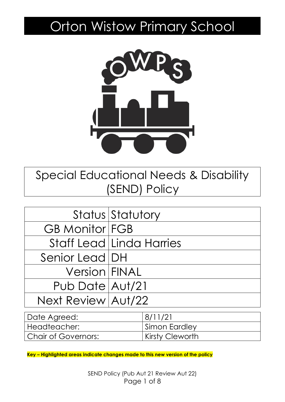# Orton Wistow Primary School



Special Educational Needs & Disability (SEND) Policy

|                       | Status Statutory                |
|-----------------------|---------------------------------|
| <b>GB Monitor FGB</b> |                                 |
|                       | <b>Staff Lead Linda Harries</b> |
| Senior Lead   DH      |                                 |
| Version FINAL         |                                 |
| Pub Date Aut/21       |                                 |
| Next Review Aut/22    |                                 |

| Date Agreed:        | 8/11/21         |
|---------------------|-----------------|
| Headteacher:        | Simon Eardley   |
| Chair of Governors: | Kirsty Cleworth |

**Key – Highlighted areas indicate changes made to this new version of the policy**

SEND Policy (Pub Aut 21 Review Aut 22) Page 1 of 8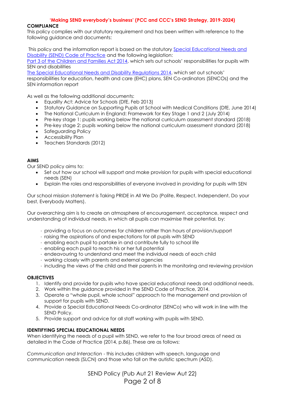# **'Making SEND everybody's business' (PCC and CCC's SEND Strategy, 2019-2024)**

## **COMPLIANCE**

This policy complies with our statutory requirement and has been written with reference to the following guidance and documents:

This policy and the information report is based on the statutory [Special Educational Needs and](https://www.gov.uk/government/uploads/system/uploads/attachment_data/file/398815/SEND_Code_of_Practice_January_2015.pdf)  [Disability \(SEND\) Code of Practice](https://www.gov.uk/government/uploads/system/uploads/attachment_data/file/398815/SEND_Code_of_Practice_January_2015.pdf) and the following legislation:

[Part 3 of the Children and Families Act 2014](http://www.legislation.gov.uk/ukpga/2014/6/part/3), which sets out schools' responsibilities for pupils with SEN and disabilities

The Special Educational [Needs and Disability Regulations 2014](http://www.legislation.gov.uk/uksi/2014/1530/contents/made), which set out schools' responsibilities for education, health and care (EHC) plans, SEN Co-ordinators (SENCOs) and the SEN information report

As well as the following additional documents:

- Equality Act: Advice for Schools (DfE, Feb 2013)
- Statutory Guidance on Supporting Pupils at School with Medical Conditions (DfE, June 2014)
- The National Curriculum in England: Framework for Key Stage 1 and 2 (July 2014)
- Pre-key stage 1: pupils working below the national curriculum assessment standard (2018)
- Pre-key stage 2: pupils working below the national curriculum assessment standard (2018)
- Safeguarding Policy
- Accessibility Plan
- Teachers Standards (2012)

## **AIMS**

Our SEND policy aims to:

- Set out how our school will support and make provision for pupils with special educational needs (SEN)
- Explain the roles and responsibilities of everyone involved in providing for pupils with SEN

Our school mission statement is Taking PRIDE in All We Do (Polite, Respect, Independent, Do your best, Everybody Matters).

Our overarching aim is to create an atmosphere of encouragement, acceptance, respect and understanding of individual needs, in which all pupils can maximise their potential, by:

- · providing a focus on outcomes for children rather than hours of provision/support
- · raising the aspirations of and expectations for all pupils with SEND
- · enabling each pupil to partake in and contribute fully to school life
- · enabling each pupil to reach his or her full potential
- · endeavouring to understand and meet the individual needs of each child
- · working closely with parents and external agencies
- · including the views of the child and their parents in the monitoring and reviewing provision

### **OBJECTIVES**

- 1. Identify and provide for pupils who have special educational needs and additional needs.
- 2. Work within the guidance provided in the SEND Code of Practice, 2014.
- 3. Operate a "whole pupil, whole school" approach to the management and provision of support for pupils with SEND.
- 4. Provide a Special Educational Needs Co-ordinator (SENCo) who will work in line with the SEND Policy.
- 5. Provide support and advice for all staff working with pupils with SEND.

### **IDENTIFYING SPECIAL EDUCATIONAL NEEDS**

When identifying the needs of a pupil with SEND, we refer to the four broad areas of need as detailed in the Code of Practice (2014, p.86). These are as follows:

*Communication and Interaction* - this includes children with speech, language and communication needs (SLCN) and those who fall on the autistic spectrum (ASD).

> SEND Policy (Pub Aut 21 Review Aut 22) Page 2 of 8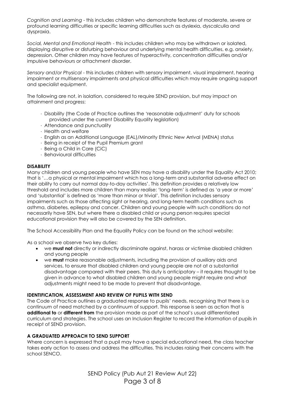*Cognition and Learning* - this includes children who demonstrate features of moderate, severe or profound learning difficulties or specific learning difficulties such as dyslexia, dyscalculia and dyspraxia.

*Social, Mental and Emotional Health* - this includes children who may be withdrawn or isolated, displaying disruptive or disturbing behaviour and underlying mental health difficulties, e.g. anxiety, depression. Other children may have features of hyperactivity, concentration difficulties and/or impulsive behaviours or attachment disorder.

*Sensory and/or Physical* - this includes children with sensory impairment, visual impairment, hearing impairment or multisensory impairments and physical difficulties which may require ongoing support and specialist equipment.

The following are not, in isolation, considered to require SEND provision, but may impact on attainment and progress:

- · Disability (the Code of Practice outlines the 'reasonable adjustment' duty for schools provided under the current Disability Equality legislation)
- · Attendance and punctuality
- · Health and welfare
- · English as an Additional Language (EAL)/Minority Ethnic New Arrival (MENA) status
- · Being in receipt of the Pupil Premium grant
- · Being a Child in Care (CiC)
- · Behavioural difficulties

### **DISABILITY**

Many children and young people who have SEN may have a disability under the Equality Act 2010; that is '…a physical or mental impairment which has a long-term and substantial adverse effect on their ability to carry out normal day-to-day activities'. This definition provides a relatively low threshold and includes more children than many realise: 'long-term' is defined as 'a year or more' and 'substantial' is defined as 'more than minor or trivial'. This definition includes sensory impairments such as those affecting sight or hearing, and long-term health conditions such as asthma, diabetes, epilepsy and cancer. Children and young people with such conditions do not necessarily have SEN, but where there a disabled child or young person requires special educational provision they will also be covered by the SEN definition.

The School Accessibility Plan and the Equality Policy can be found on the school website:

As a school we observe two key duties:

- we **must not** directly or indirectly discriminate against, harass or victimise disabled children and young people
- we **must** make reasonable adjustments, including the provision of auxiliary aids and services, to ensure that disabled children and young people are not at a substantial disadvantage compared with their peers. This duty is anticipatory – it requires thought to be given in advance to what disabled children and young people might require and what adjustments might need to be made to prevent that disadvantage.

### **IDENTIFICATION, ASSESSMENT AND REVIEW OF PUPILS WITH SEND**

The Code of Practice outlines a graduated response to pupils' needs, recognising that there is a continuum of need matched by a continuum of support. This response is seen as action that is **additional to** or **different from** the provision made as part of the school's usual differentiated curriculum and strategies. The school uses an Inclusion Register to record the information of pupils in receipt of SEND provision.

### **A GRADUATED APPROACH TO SEND SUPPORT**

Where concern is expressed that a pupil may have a special educational need, the class teacher takes early action to assess and address the difficulties. This includes raising their concerns with the school SENCO.

> SEND Policy (Pub Aut 21 Review Aut 22) Page 3 of 8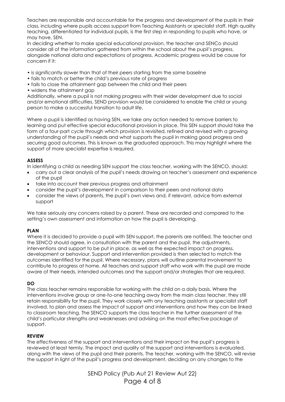Teachers are responsible and accountable for the progress and development of the pupils in their class, including where pupils access support from Teaching Assistants or specialist staff. High quality teaching, differentiated for individual pupils, is the first step in responding to pupils who have, or may have, SEN.

In deciding whether to make special educational provision, the teacher and SENCo should consider all of the information gathered from within the school about the pupil's progress, alongside national data and expectations of progress. Academic progress would be cause for concern if it:

- is significantly slower than that of their peers starting from the same baseline
- fails to match or better the child's previous rate of progress
- fails to close the attainment gap between the child and their peers
- widens the attainment gap

Additionally, where a pupil is not making progress with their wider development due to social and/or emotional difficulties, SEND provision would be considered to enable the child or young person to make a successful transition to adult life.

Where a pupil is identified as having SEN, we take any action needed to remove barriers to learning and put effective special educational provision in place. This SEN support should take the form of a four-part cycle through which provision is revisited, refined and revised with a growing understanding of the pupil's needs and what supports the pupil in making good progress and securing good outcomes. This is known as the graduated approach. This may highlight where the support of more specialist expertise is required.

# **ASSESS**

In identifying a child as needing SEN support the class teacher, working with the SENCO, should:

- carry out a clear analysis of the pupil's needs drawing on teacher's assessment and experience of the pupil
- take into account their previous progress and attainment
- consider the pupil's development in comparison to their peers and national data
- consider the views of parents, the pupil's own views and, if relevant, advice from external support

We take seriously any concerns raised by a parent. These are recorded and compared to the setting's own assessment and information on how the pupil is developing.

# **PLAN**

Where it is decided to provide a pupil with SEN support, the parents are notified. The teacher and the SENCO should agree, in consultation with the parent and the pupil, the adjustments, interventions and support to be put in place, as well as the expected impact on progress, development or behaviour. Support and intervention provided is then selected to match the outcomes identified for the pupil. Where necessary, plans will outline parental involvement to contribute to progress at home. All teachers and support staff who work with the pupil are made aware of their needs, intended outcomes and the support and/or strategies that are required.

# **DO**

The class teacher remains responsible for working with the child on a daily basis. Where the interventions involve group or one-to-one teaching away from the main class teacher, they still retain responsibility for the pupil. They work closely with any teaching assistants or specialist staff involved, to plan and assess the impact of support and interventions and how they can be linked to classroom teaching. The SENCO supports the class teacher in the further assessment of the child's particular strengths and weaknesses and advising on the most effective package of support.

# **REVIEW**

The effectiveness of the support and interventions and their impact on the pupil's progress is reviewed at least termly. The impact and quality of the support and interventions is evaluated, along with the views of the pupil and their parents. The teacher, working with the SENCO, will revise the support in light of the pupil's progress and development, deciding on any changes to the

> SEND Policy (Pub Aut 21 Review Aut 22) Page 4 of 8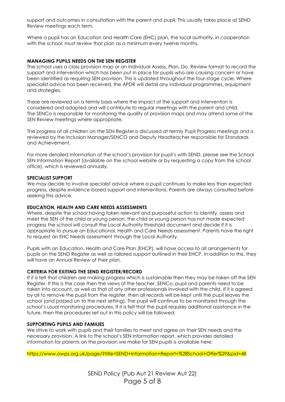support and outcomes in consultation with the parent and pupil. This usually takes place at SEND Review meetings each term.

Where a pupil has an Education and Health Care (EHC) plan, the local authority, in cooperation with the school, must review that plan as a minimum every twelve months.

### **MANAGING PUPILS NEEDS ON THE SEN REGISTER**

The school uses a class provision map or an individual Assess, Plan, Do, Review format to record the support and intervention which has been put in place for pupils who are causing concern or have been identified as requiring SEN provision. This is updated throughout the four-stage cycle. Where specialist advice has been received, the APDR will detail any individual programmes, equipment and strategies.

These are reviewed on a termly basis where the impact of the support and intervention is considered and adapted and will contribute to regular meetings with the parent and child. The SENCo is responsible for monitoring the quality of provision maps and may attend some of the SEN Review meetings where appropriate.

The progress of all children on the SEN Register is discussed at termly Pupil Progress meetings and is reviewed by the Inclusion Manager/SENCO and Deputy Headteacher responsible for Standards and Achievement.

For more detailed information of the school's provision for pupil's with SEND, please see the School SEN Information Report (available on the school website or by requesting a copy from the school office), which is reviewed annually.

#### **SPECIALIST SUPPORT**

We may decide to involve specialist advice where a pupil continues to make less than expected progress, despite evidence-based support and interventions. Parents are always consulted before seeking this advice.

### **EDUCATION, HEALTH AND CARE NEEDS ASSESSMENTS**

Where, despite the school having taken relevant and purposeful action to identify, assess and meet the SEN of the child or young person, the child or young person has not made expected progress the school will consult the Local Authority threshold document and decide if it is appropriate to pursue an Educational, Health and Care Needs assessment. Parents have the right to request an EHC Needs assessment through the Local Authority.

Pupils with an Education, Health and Care Plan (EHCP), will have access to all arrangements for pupils on the SEND Register as well as tailored support outlined in their EHCP. In addition to this, they will have an Annual Review of their plan.

### **CRITERIA FOR EXITING THE SEND REGISTER/RECORD**

If it is felt that children are making progress which is sustainable then they may be taken off the SEN Register. If this is the case then the views of the teacher, SENCo, pupil and parents need to be taken into account, as well as that of any other professionals involved with the child. If it is agreed by all to remove the pupil from the register, then all records will be kept until the pupil leaves the school (and passed on to the next setting). The pupil will continue to be monitored through the school's usual monitoring procedures. If it is felt that the pupil requires additional assistance in the future, then the procedures set out in this policy will be followed.

#### **SUPPORTING PUPILS AND FAMILIES**

We strive to work with pupils and their families to meet and agree on their SEN needs and the necessary provision. A link to the school's SEN information report, which provides detailed information for parents on the provision we make for SEN pupils is available here:

https://www.owps.org.uk/page/?title=SEND+Information+Report+%28School+Offer%29&pid=48

SEND Policy (Pub Aut 21 Review Aut 22) Page 5 of 8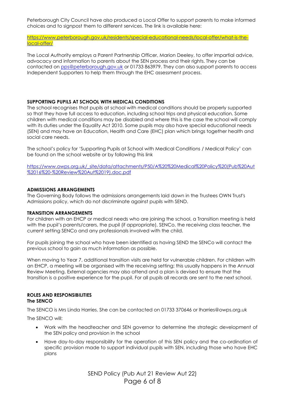Peterborough City Council have also produced a Local Offer to support parents to make informed choices and to signpost them to different services. The link is available here:

[https://www.peterborough.gov.uk/residents/special-educational-needs/local-offer/what-is-the](https://www.peterborough.gov.uk/residents/special-educational-needs/local-offer/what-is-the-local-offer/)[local-offer/](https://www.peterborough.gov.uk/residents/special-educational-needs/local-offer/what-is-the-local-offer/)

The Local Authority employs a Parent Partnership Officer, Marion Deeley, to offer impartial advice, advocacy and information to parents about the SEN process and their rights. They can be contacted on [pps@peterborough.gov.uk](mailto:pps@peterborough.gov.uk) or 01733 863979. They can also support parents to access Independent Supporters to help them through the EHC assessment process.

### **SUPPORTING PUPILS AT SCHOOL WITH MEDICAL CONDITIONS**

The school recognises that pupils at school with medical conditions should be properly supported so that they have full access to education, including school trips and physical education. Some children with medical conditions may be disabled and where this is the case the school will comply with its duties under the Equality Act 2010. Some pupils may also have special educational needs (SEN) and may have an Education, Health and Care (EHC) plan which brings together health and social care needs.

The school's policy for 'Supporting Pupils at School with Medical Conditions / Medical Policy' can be found on the school website or by following this link

[https://www.owps.org.uk/\\_site/data/attachments/P50/A%20%20Medical%20Policy%20\(Pub%20Aut](https://www.owps.org.uk/_site/data/attachments/P50/A%20%20Medical%20Policy%20(Pub%20Aut%2016%20-%20Review%20Aut%2019).doc.pdf) [%2016%20-%20Review%20Aut%2019\).doc.pdf](https://www.owps.org.uk/_site/data/attachments/P50/A%20%20Medical%20Policy%20(Pub%20Aut%2016%20-%20Review%20Aut%2019).doc.pdf)

## **ADMISSIONS ARRANGEMENTS**

The Governing Body follows the admissions arrangements laid down in the Trustees OWN Trust's Admissions policy, which do not discriminate against pupils with SEND.

### **TRANSITION ARRANGEMENTS**

For children with an EHCP or medical needs who are joining the school, a Transition meeting is held with the pupil's parents/carers, the pupil (if appropriate), SENCo, the receiving class teacher, the current setting SENCo and any professionals involved with the child.

For pupils joining the school who have been identified as having SEND the SENCo will contact the previous school to gain as much information as possible.

When moving to Year 7, additional transition visits are held for vulnerable children. For children with an EHCP, a meeting will be organised with the receiving setting; this usually happens in the Annual Review Meeting. External agencies may also attend and a plan is devised to ensure that the transition is a positive experience for the pupil. For all pupils all records are sent to the next school.

#### **ROLES AND RESPONSIBILITIES The SENCO**

The SENCO is Mrs Linda Harries. She can be contacted on 01733 370646 or lharries@owps.org.uk

The SENCO will:

- Work with the headteacher and SEN governor to determine the strategic development of the SEN policy and provision in the school
- Have day-to-day responsibility for the operation of this SEN policy and the co-ordination of specific provision made to support individual pupils with SEN, including those who have EHC plans

SEND Policy (Pub Aut 21 Review Aut 22) Page 6 of 8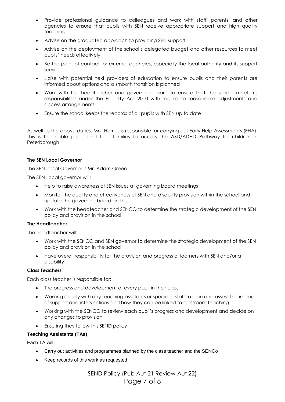- Provide professional guidance to colleagues and work with staff, parents, and other agencies to ensure that pupils with SEN receive appropriate support and high quality teaching
- Advise on the graduated approach to providing SEN support
- Advise on the deployment of the school's delegated budget and other resources to meet pupils' needs effectively
- Be the point of contact for external agencies, especially the local authority and its support services
- Liaise with potential next providers of education to ensure pupils and their parents are informed about options and a smooth transition is planned
- Work with the headteacher and governing board to ensure that the school meets its responsibilities under the Equality Act 2010 with regard to reasonable adjustments and access arrangements
- Ensure the school keeps the records of all pupils with SEN up to date

As well as the above duties, Mrs. Harries is responsible for carrying out Early Help Assessments (EHA). This is to enable pupils and their families to access the ASD/ADHD Pathway for children in Peterborough.

## **The SEN Local Governor**

The SEN Local Governor is Mr. Adam Green.

The SEN Local governor will:

- Help to raise awareness of SEN issues at governing board meetings
- Monitor the quality and effectiveness of SEN and disability provision within the school and update the governing board on this
- Work with the headteacher and SENCO to determine the strategic development of the SEN policy and provision in the school

### **The Headteacher**

The headteacher will:

- Work with the SENCO and SEN governor to determine the strategic development of the SEN policy and provision in the school
- Have overall responsibility for the provision and progress of learners with SEN and/or a disability

### **Class Teachers**

Each class teacher is responsible for:

- The progress and development of every pupil in their class
- Working closely with any teaching assistants or specialist staff to plan and assess the impact of support and interventions and how they can be linked to classroom teaching
- Working with the SENCO to review each pupil's progress and development and decide on any changes to provision
- Ensuring they follow this SEND policy

# **Teaching Assistants (TAs)**

Each TA will:

- Carry out activities and programmes planned by the class teacher and the SENCo
- Keep records of this work as requested

SEND Policy (Pub Aut 21 Review Aut 22) Page 7 of 8